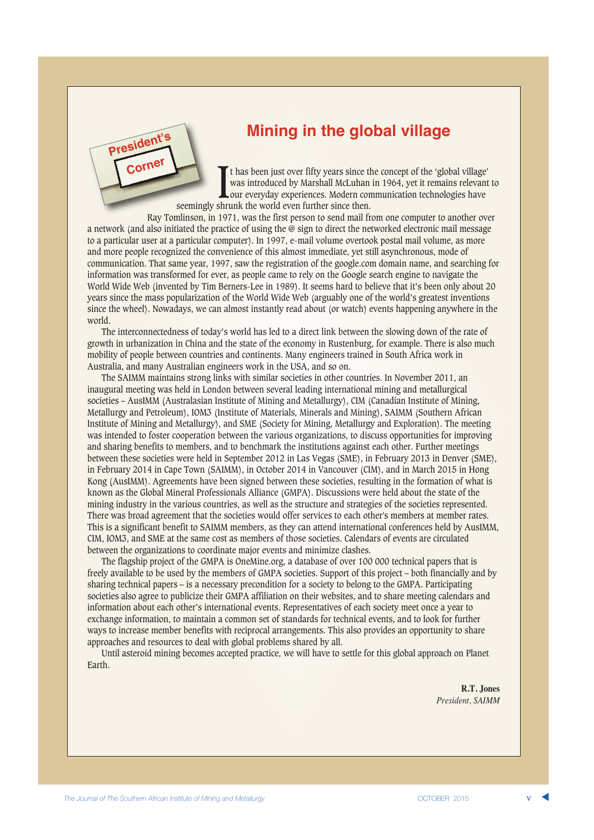

# **Mining in the global village**

It has been just over fifty years since the was introduced by Marshall McLuhan our everyday experiences. Modern conseemingly shrunk the world even further since then. t has been just over fifty years since the concept of the 'global village' was introduced by Marshall McLuhan in 1964, yet it remains relevant to our everyday experiences. Modern communication technologies have

Ray Tomlinson, in 1971, was the first person to send mail from one computer to another over a network (and also initiated the practice of using the @ sign to direct the networked electronic mail message to a particular user at a particular computer). In 1997, e-mail volume overtook postal mail volume, as more and more people recognized the convenience of this almost immediate, yet still asynchronous, mode of communication. That same year, 1997, saw the registration of the google.com domain name, and searching for information was transformed for ever, as people came to rely on the Google search engine to navigate the World Wide Web (invented by Tim Berners-Lee in 1989). It seems hard to believe that it's been only about 20 years since the mass popularization of the World Wide Web (arguably one of the world's greatest inventions since the wheel). Nowadays, we can almost instantly read about (or watch) events happening anywhere in the world.

The interconnectedness of today's world has led to a direct link between the slowing down of the rate of growth in urbanization in China and the state of the economy in Rustenburg, for example. There is also much mobility of people between countries and continents. Many engineers trained in South Africa work in Australia, and many Australian engineers work in the USA, and so on.

The SAIMM maintains strong links with similar societies in other countries. In November 2011, an inaugural meeting was held in London between several leading international mining and metallurgical societies – AusIMM (Australasian Institute of Mining and Metallurgy), CIM (Canadian Institute of Mining, Metallurgy and Petroleum), IOM3 (Institute of Materials, Minerals and Mining), SAIMM (Southern African Institute of Mining and Metallurgy), and SME (Society for Mining, Metallurgy and Exploration). The meeting was intended to foster cooperation between the various organizations, to discuss opportunities for improving and sharing benefits to members, and to benchmark the institutions against each other. Further meetings between these societies were held in September 2012 in Las Vegas (SME), in February 2013 in Denver (SME), in February 2014 in Cape Town (SAIMM), in October 2014 in Vancouver (CIM), and in March 2015 in Hong Kong (AusIMM). Agreements have been signed between these societies, resulting in the formation of what is known as the Global Mineral Professionals Alliance (GMPA). Discussions were held about the state of the mining industry in the various countries, as well as the structure and strategies of the societies represented. There was broad agreement that the societies would offer services to each other's members at member rates. This is a significant benefit to SAIMM members, as they can attend international conferences held by AusIMM, CIM, IOM3, and SME at the same cost as members of those societies. Calendars of events are circulated between the organizations to coordinate major events and minimize clashes.

The flagship project of the GMPA is OneMine.org, a database of over 100 000 technical papers that is freely available to be used by the members of GMPA societies. Support of this project – both financially and by sharing technical papers – is a necessary precondition for a society to belong to the GMPA. Participating societies also agree to publicize their GMPA affiliation on their websites, and to share meeting calendars and information about each other's international events. Representatives of each society meet once a year to exchange information, to maintain a common set of standards for technical events, and to look for further ways to increase member benefits with reciprocal arrangements. This also provides an opportunity to share approaches and resources to deal with global problems shared by all.

Until asteroid mining becomes accepted practice, we will have to settle for this global approach on Planet Earth.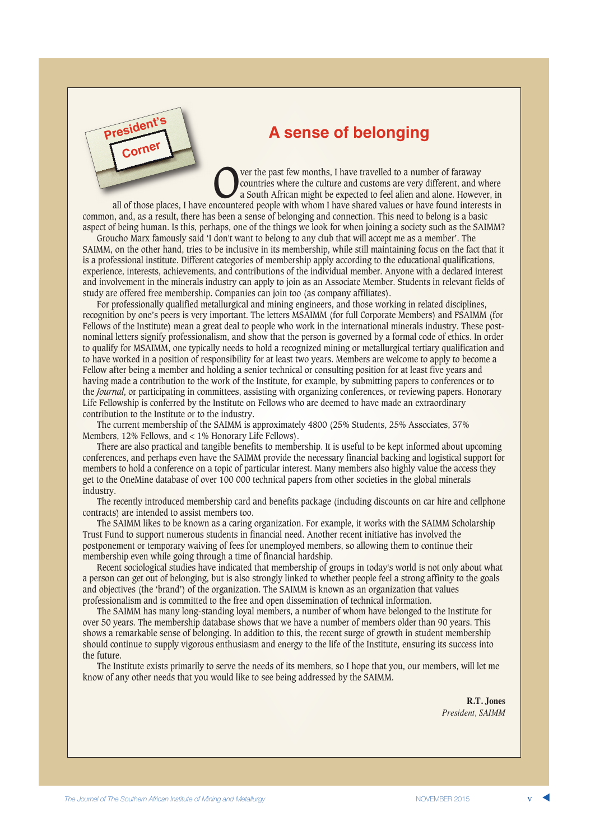

# **A sense of belonging**

Over the past few months, I have travelled to a number of faraway<br>
a South African might be expected to feel alien and alone. However, in<br>
neountered people with whom I have shared values or have found interests in countries where the culture and customs are very different, and where all of those places, I have encountered people with whom I have shared values or have found interests in

common, and, as a result, there has been a sense of belonging and connection. This need to belong is a basic aspect of being human. Is this, perhaps, one of the things we look for when joining a society such as the SAIMM?

Groucho Marx famously said 'I don't want to belong to any club that will accept me as a member'. The SAIMM, on the other hand, tries to be inclusive in its membership, while still maintaining focus on the fact that it is a professional institute. Different categories of membership apply according to the educational qualifications, experience, interests, achievements, and contributions of the individual member. Anyone with a declared interest and involvement in the minerals industry can apply to join as an Associate Member. Students in relevant fields of study are offered free membership. Companies can join too (as company affiliates).

For professionally qualified metallurgical and mining engineers, and those working in related disciplines, recognition by one's peers is very important. The letters MSAIMM (for full Corporate Members) and FSAIMM (for Fellows of the Institute) mean a great deal to people who work in the international minerals industry. These postnominal letters signify professionalism, and show that the person is governed by a formal code of ethics. In order to qualify for MSAIMM, one typically needs to hold a recognized mining or metallurgical tertiary qualification and to have worked in a position of responsibility for at least two years. Members are welcome to apply to become a Fellow after being a member and holding a senior technical or consulting position for at least five years and having made a contribution to the work of the Institute, for example, by submitting papers to conferences or to the *Journal*, or participating in committees, assisting with organizing conferences, or reviewing papers. Honorary Life Fellowship is conferred by the Institute on Fellows who are deemed to have made an extraordinary contribution to the Institute or to the industry.

The current membership of the SAIMM is approximately 4800 (25% Students, 25% Associates, 37% Members, 12% Fellows, and < 1% Honorary Life Fellows).

There are also practical and tangible benefits to membership. It is useful to be kept informed about upcoming conferences, and perhaps even have the SAIMM provide the necessary financial backing and logistical support for members to hold a conference on a topic of particular interest. Many members also highly value the access they get to the OneMine database of over 100 000 technical papers from other societies in the global minerals industry.

The recently introduced membership card and benefits package (including discounts on car hire and cellphone contracts) are intended to assist members too.

The SAIMM likes to be known as a caring organization. For example, it works with the SAIMM Scholarship Trust Fund to support numerous students in financial need. Another recent initiative has involved the postponement or temporary waiving of fees for unemployed members, so allowing them to continue their membership even while going through a time of financial hardship.

Recent sociological studies have indicated that membership of groups in today's world is not only about what a person can get out of belonging, but is also strongly linked to whether people feel a strong affinity to the goals and objectives (the 'brand') of the organization. The SAIMM is known as an organization that values professionalism and is committed to the free and open dissemination of technical information.

The SAIMM has many long-standing loyal members, a number of whom have belonged to the Institute for over 50 years. The membership database shows that we have a number of members older than 90 years. This shows a remarkable sense of belonging. In addition to this, the recent surge of growth in student membership should continue to supply vigorous enthusiasm and energy to the life of the Institute, ensuring its success into the future.

The Institute exists primarily to serve the needs of its members, so I hope that you, our members, will let me know of any other needs that you would like to see being addressed by the SAIMM.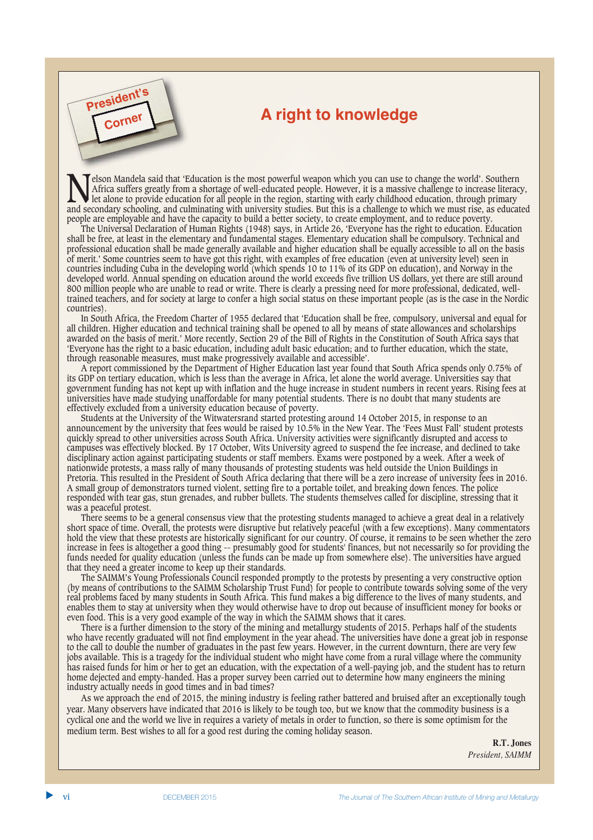# **President Construction A right to knowledge**

Nelson Mandela said that 'Education is the most powerful weapon which you can use to change the world'. Southern<br>Africa suffers greatly from a shortage of well-educated people. However, it is a massive challenge to increas Africa suffers greatly from a shortage of well-educated people. However, it is a massive challenge to increase literacy, let alone to provide education for all people in the region, starting with early childhood education, through primary and secondary schooling, and culminating with university studies. But this is a challenge to which we must rise, as educated people are employable and have the capacity to build a better society, to create employment, and to reduce poverty.

**Corner**

The Universal Declaration of Human Rights (1948) says, in Article 26, 'Everyone has the right to education. Education shall be free, at least in the elementary and fundamental stages. Elementary education shall be compulsory. Technical and professional education shall be made generally available and higher education shall be equally accessible to all on the basis of merit.' Some countries seem to have got this right, with examples of free education (even at university level) seen in countries including Cuba in the developing world (which spends 10 to 11% of its GDP on education), and Norway in the developed world. Annual spending on education around the world exceeds five trillion US dollars, yet there are still around 800 million people who are unable to read or write. There is clearly a pressing need for more professional, dedicated, welltrained teachers, and for society at large to confer a high social status on these important people (as is the case in the Nordic countries).

In South Africa, the Freedom Charter of 1955 declared that 'Education shall be free, compulsory, universal and equal for all children. Higher education and technical training shall be opened to all by means of state allowances and scholarships awarded on the basis of merit.' More recently, Section 29 of the Bill of Rights in the Constitution of South Africa says that 'Everyone has the right to a basic education, including adult basic education; and to further education, which the state, through reasonable measures, must make progressively available and accessible'.

A report commissioned by the Department of Higher Education last year found that South Africa spends only 0.75% of its GDP on tertiary education, which is less than the average in Africa, let alone the world average. Universities say that government funding has not kept up with inflation and the huge increase in student numbers in recent years. Rising fees at universities have made studying unaffordable for many potential students. There is no doubt that many students are effectively excluded from a university education because of poverty.

Students at the University of the Witwatersrand started protesting around 14 October 2015, in response to an announcement by the university that fees would be raised by 10.5% in the New Year. The 'Fees Must Fall' student protests quickly spread to other universities across South Africa. University activities were significantly disrupted and access to campuses was effectively blocked. By 17 October, Wits University agreed to suspend the fee increase, and declined to take disciplinary action against participating students or staff members. Exams were postponed by a week. After a week of nationwide protests, a mass rally of many thousands of protesting students was held outside the Union Buildings in Pretoria. This resulted in the President of South Africa declaring that there will be a zero increase of university fees in 2016. A small group of demonstrators turned violent, setting fire to a portable toilet, and breaking down fences. The police responded with tear gas, stun grenades, and rubber bullets. The students themselves called for discipline, stressing that it was a peaceful protest.

There seems to be a general consensus view that the protesting students managed to achieve a great deal in a relatively short space of time. Overall, the protests were disruptive but relatively peaceful (with a few exceptions). Many commentators hold the view that these protests are historically significant for our country. Of course, it remains to be seen whether the zero increase in fees is altogether a good thing -- presumably good for students' finances, but not necessarily so for providing the funds needed for quality education (unless the funds can be made up from somewhere else). The universities have argued that they need a greater income to keep up their standards.

The SAIMM's Young Professionals Council responded promptly to the protests by presenting a very constructive option (by means of contributions to the SAIMM Scholarship Trust Fund) for people to contribute towards solving some of the very real problems faced by many students in South Africa. This fund makes a big difference to the lives of many students, and enables them to stay at university when they would otherwise have to drop out because of insufficient money for books or even food. This is a very good example of the way in which the SAIMM shows that it cares.

There is a further dimension to the story of the mining and metallurgy students of 2015. Perhaps half of the students who have recently graduated will not find employment in the year ahead. The universities have done a great job in response to the call to double the number of graduates in the past few years. However, in the current downturn, there are very few jobs available. This is a tragedy for the individual student who might have come from a rural village where the community has raised funds for him or her to get an education, with the expectation of a well-paying job, and the student has to return home dejected and empty-handed. Has a proper survey been carried out to determine how many engineers the mining industry actually needs in good times and in bad times?

As we approach the end of 2015, the mining industry is feeling rather battered and bruised after an exceptionally tough year. Many observers have indicated that 2016 is likely to be tough too, but we know that the commodity business is a cyclical one and the world we live in requires a variety of metals in order to function, so there is some optimism for the medium term. Best wishes to all for a good rest during the coming holiday season.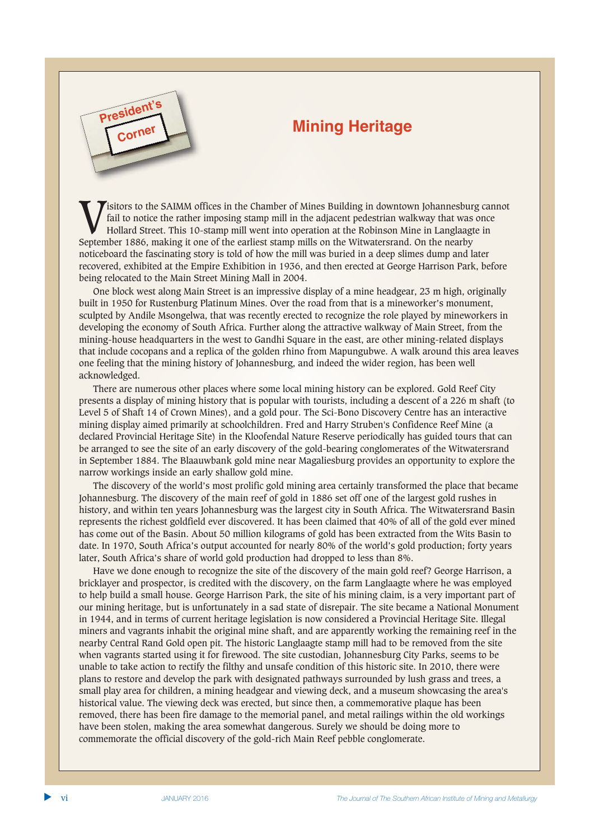# **President Contract Contract Contract President Contract Contract Contract Contract Contract Contract Contract Contract Contract Contract Contract Contract Contract Contract Contract Contract Contract Contract Contract Con**



**Corner**

One block west along Main Street is an impressive display of a mine headgear, 23 m high, originally built in 1950 for Rustenburg Platinum Mines. Over the road from that is a mineworker's monument, sculpted by Andile Msongelwa, that was recently erected to recognize the role played by mineworkers in developing the economy of South Africa. Further along the attractive walkway of Main Street, from the mining-house headquarters in the west to Gandhi Square in the east, are other mining-related displays that include cocopans and a replica of the golden rhino from Mapungubwe. A walk around this area leaves one feeling that the mining history of Johannesburg, and indeed the wider region, has been well acknowledged.

There are numerous other places where some local mining history can be explored. Gold Reef City presents a display of mining history that is popular with tourists, including a descent of a 226 m shaft (to Level 5 of Shaft 14 of Crown Mines), and a gold pour. The Sci-Bono Discovery Centre has an interactive mining display aimed primarily at schoolchildren. Fred and Harry Struben's Confidence Reef Mine (a declared Provincial Heritage Site) in the Kloofendal Nature Reserve periodically has guided tours that can be arranged to see the site of an early discovery of the gold-bearing conglomerates of the Witwatersrand in September 1884. The Blaauwbank gold mine near Magaliesburg provides an opportunity to explore the narrow workings inside an early shallow gold mine.

The discovery of the world's most prolific gold mining area certainly transformed the place that became Johannesburg. The discovery of the main reef of gold in 1886 set off one of the largest gold rushes in history, and within ten years Johannesburg was the largest city in South Africa. The Witwatersrand Basin represents the richest goldfield ever discovered. It has been claimed that 40% of all of the gold ever mined has come out of the Basin. About 50 million kilograms of gold has been extracted from the Wits Basin to date. In 1970, South Africa's output accounted for nearly 80% of the world's gold production; forty years later, South Africa's share of world gold production had dropped to less than 8%.

Have we done enough to recognize the site of the discovery of the main gold reef? George Harrison, a bricklayer and prospector, is credited with the discovery, on the farm Langlaagte where he was employed to help build a small house. George Harrison Park, the site of his mining claim, is a very important part of our mining heritage, but is unfortunately in a sad state of disrepair. The site became a National Monument in 1944, and in terms of current heritage legislation is now considered a Provincial Heritage Site. Illegal miners and vagrants inhabit the original mine shaft, and are apparently working the remaining reef in the nearby Central Rand Gold open pit. The historic Langlaagte stamp mill had to be removed from the site when vagrants started using it for firewood. The site custodian, Johannesburg City Parks, seems to be unable to take action to rectify the filthy and unsafe condition of this historic site. In 2010, there were plans to restore and develop the park with designated pathways surrounded by lush grass and trees, a small play area for children, a mining headgear and viewing deck, and a museum showcasing the area's historical value. The viewing deck was erected, but since then, a commemorative plaque has been removed, there has been fire damage to the memorial panel, and metal railings within the old workings have been stolen, making the area somewhat dangerous. Surely we should be doing more to commemorate the official discovery of the gold-rich Main Reef pebble conglomerate.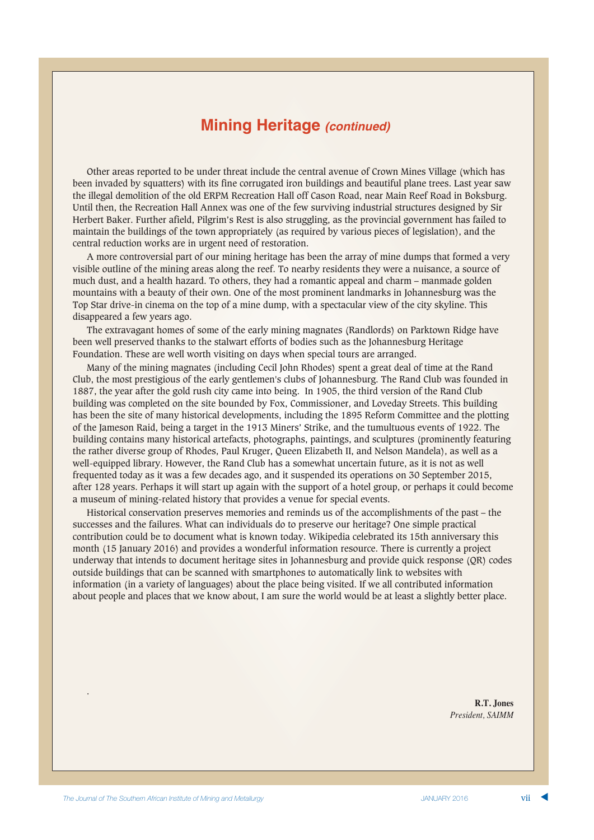## **Mining Heritage** *(continued)*

Other areas reported to be under threat include the central avenue of Crown Mines Village (which has been invaded by squatters) with its fine corrugated iron buildings and beautiful plane trees. Last year saw the illegal demolition of the old ERPM Recreation Hall off Cason Road, near Main Reef Road in Boksburg. Until then, the Recreation Hall Annex was one of the few surviving industrial structures designed by Sir Herbert Baker. Further afield, Pilgrim's Rest is also struggling, as the provincial government has failed to maintain the buildings of the town appropriately (as required by various pieces of legislation), and the central reduction works are in urgent need of restoration.

A more controversial part of our mining heritage has been the array of mine dumps that formed a very visible outline of the mining areas along the reef. To nearby residents they were a nuisance, a source of much dust, and a health hazard. To others, they had a romantic appeal and charm – manmade golden mountains with a beauty of their own. One of the most prominent landmarks in Johannesburg was the Top Star drive-in cinema on the top of a mine dump, with a spectacular view of the city skyline. This disappeared a few years ago.

The extravagant homes of some of the early mining magnates (Randlords) on Parktown Ridge have been well preserved thanks to the stalwart efforts of bodies such as the Johannesburg Heritage Foundation. These are well worth visiting on days when special tours are arranged.

Many of the mining magnates (including Cecil John Rhodes) spent a great deal of time at the Rand Club, the most prestigious of the early gentlemen's clubs of Johannesburg. The Rand Club was founded in 1887, the year after the gold rush city came into being. In 1905, the third version of the Rand Club building was completed on the site bounded by Fox, Commissioner, and Loveday Streets. This building has been the site of many historical developments, including the 1895 Reform Committee and the plotting of the Jameson Raid, being a target in the 1913 Miners' Strike, and the tumultuous events of 1922. The building contains many historical artefacts, photographs, paintings, and sculptures (prominently featuring the rather diverse group of Rhodes, Paul Kruger, Queen Elizabeth II, and Nelson Mandela), as well as a well-equipped library. However, the Rand Club has a somewhat uncertain future, as it is not as well frequented today as it was a few decades ago, and it suspended its operations on 30 September 2015, after 128 years. Perhaps it will start up again with the support of a hotel group, or perhaps it could become a museum of mining-related history that provides a venue for special events.

Historical conservation preserves memories and reminds us of the accomplishments of the past – the successes and the failures. What can individuals do to preserve our heritage? One simple practical contribution could be to document what is known today. Wikipedia celebrated its 15th anniversary this month (15 January 2016) and provides a wonderful information resource. There is currently a project underway that intends to document heritage sites in Johannesburg and provide quick response (QR) codes outside buildings that can be scanned with smartphones to automatically link to websites with information (in a variety of languages) about the place being visited. If we all contributed information about people and places that we know about, I am sure the world would be at least a slightly better place.

> **R.T. Jones** *President, SAIMM*

.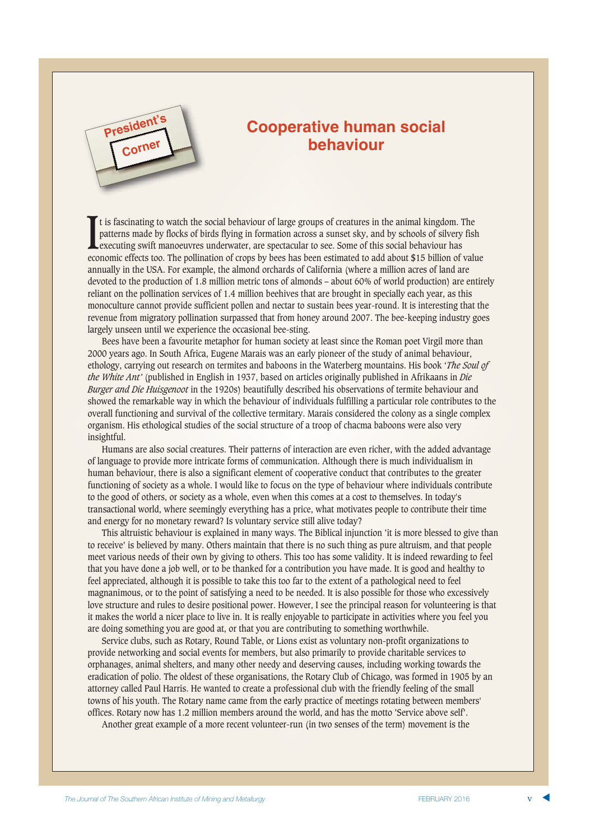

# **Cooperative human social behaviour**

It is fascinating to watch the social behaviour of large groups of creatures in the animal kingdom. The patterns made by flocks of birds flying in formation across a sunset sky, and by schools of silvery fish executing swi t is fascinating to watch the social behaviour of large groups of creatures in the animal kingdom. The patterns made by flocks of birds flying in formation across a sunset sky, and by schools of silvery fish executing swift manoeuvres underwater, are spectacular to see. Some of this social behaviour has annually in the USA. For example, the almond orchards of California (where a million acres of land are devoted to the production of 1.8 million metric tons of almonds – about 60% of world production) are entirely reliant on the pollination services of 1.4 million beehives that are brought in specially each year, as this monoculture cannot provide sufficient pollen and nectar to sustain bees year-round. It is interesting that the revenue from migratory pollination surpassed that from honey around 2007. The bee-keeping industry goes largely unseen until we experience the occasional bee-sting.

Bees have been a favourite metaphor for human society at least since the Roman poet Virgil more than 2000 years ago. In South Africa, Eugene Marais was an early pioneer of the study of animal behaviour, ethology, carrying out research on termites and baboons in the Waterberg mountains. His book '*The Soul of the White Ant'* (published in English in 1937, based on articles originally published in Afrikaans in *Die Burger and Die Huisgenoot* in the 1920s) beautifully described his observations of termite behaviour and showed the remarkable way in which the behaviour of individuals fulfilling a particular role contributes to the overall functioning and survival of the collective termitary. Marais considered the colony as a single complex organism. His ethological studies of the social structure of a troop of chacma baboons were also very insightful.

Humans are also social creatures. Their patterns of interaction are even richer, with the added advantage of language to provide more intricate forms of communication. Although there is much individualism in human behaviour, there is also a significant element of cooperative conduct that contributes to the greater functioning of society as a whole. I would like to focus on the type of behaviour where individuals contribute to the good of others, or society as a whole, even when this comes at a cost to themselves. In today's transactional world, where seemingly everything has a price, what motivates people to contribute their time and energy for no monetary reward? Is voluntary service still alive today?

This altruistic behaviour is explained in many ways. The Biblical injunction 'it is more blessed to give than to receive' is believed by many. Others maintain that there is no such thing as pure altruism, and that people meet various needs of their own by giving to others. This too has some validity. It is indeed rewarding to feel that you have done a job well, or to be thanked for a contribution you have made. It is good and healthy to feel appreciated, although it is possible to take this too far to the extent of a pathological need to feel magnanimous, or to the point of satisfying a need to be needed. It is also possible for those who excessively love structure and rules to desire positional power. However, I see the principal reason for volunteering is that it makes the world a nicer place to live in. It is really enjoyable to participate in activities where you feel you are doing something you are good at, or that you are contributing to something worthwhile.

Service clubs, such as Rotary, Round Table, or Lions exist as voluntary non-profit organizations to provide networking and social events for members, but also primarily to provide charitable services to orphanages, animal shelters, and many other needy and deserving causes, including working towards the eradication of polio. The oldest of these organisations, the Rotary Club of Chicago, was formed in 1905 by an attorney called Paul Harris. He wanted to create a professional club with the friendly feeling of the small towns of his youth. The Rotary name came from the early practice of meetings rotating between members' offices. Rotary now has 1.2 million members around the world, and has the motto 'Service above self'.

Another great example of a more recent volunteer-run (in two senses of the term) movement is the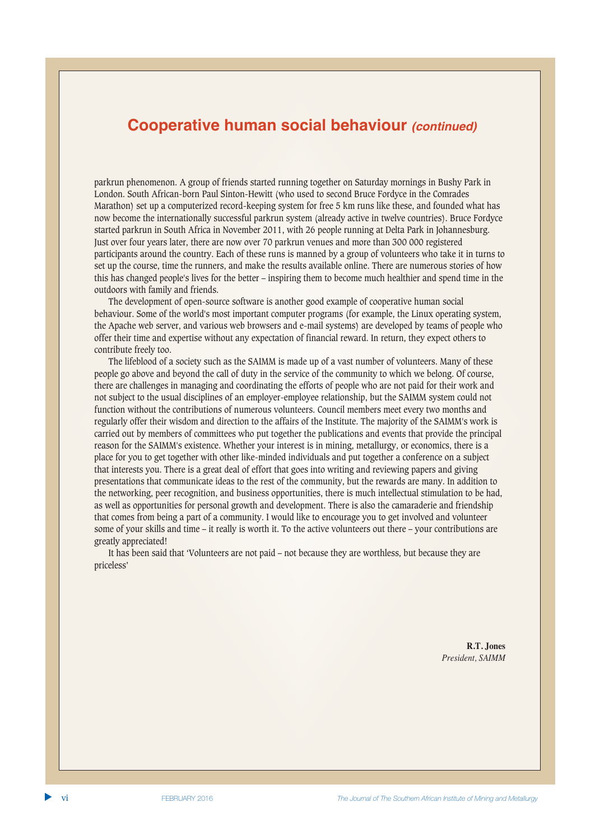### **Cooperative human social behaviour** *(continued)*

parkrun phenomenon. A group of friends started running together on Saturday mornings in Bushy Park in London. South African-born Paul Sinton-Hewitt (who used to second Bruce Fordyce in the Comrades Marathon) set up a computerized record-keeping system for free 5 km runs like these, and founded what has now become the internationally successful parkrun system (already active in twelve countries). Bruce Fordyce started parkrun in South Africa in November 2011, with 26 people running at Delta Park in Johannesburg. Just over four years later, there are now over 70 parkrun venues and more than 300 000 registered participants around the country. Each of these runs is manned by a group of volunteers who take it in turns to set up the course, time the runners, and make the results available online. There are numerous stories of how this has changed people's lives for the better – inspiring them to become much healthier and spend time in the outdoors with family and friends.

The development of open-source software is another good example of cooperative human social behaviour. Some of the world's most important computer programs (for example, the Linux operating system, the Apache web server, and various web browsers and e-mail systems) are developed by teams of people who offer their time and expertise without any expectation of financial reward. In return, they expect others to contribute freely too.

The lifeblood of a society such as the SAIMM is made up of a vast number of volunteers. Many of these people go above and beyond the call of duty in the service of the community to which we belong. Of course, there are challenges in managing and coordinating the efforts of people who are not paid for their work and not subject to the usual disciplines of an employer-employee relationship, but the SAIMM system could not function without the contributions of numerous volunteers. Council members meet every two months and regularly offer their wisdom and direction to the affairs of the Institute. The majority of the SAIMM's work is carried out by members of committees who put together the publications and events that provide the principal reason for the SAIMM's existence. Whether your interest is in mining, metallurgy, or economics, there is a place for you to get together with other like-minded individuals and put together a conference on a subject that interests you. There is a great deal of effort that goes into writing and reviewing papers and giving presentations that communicate ideas to the rest of the community, but the rewards are many. In addition to the networking, peer recognition, and business opportunities, there is much intellectual stimulation to be had, as well as opportunities for personal growth and development. There is also the camaraderie and friendship that comes from being a part of a community. I would like to encourage you to get involved and volunteer some of your skills and time – it really is worth it. To the active volunteers out there – your contributions are greatly appreciated!

It has been said that 'Volunteers are not paid – not because they are worthless, but because they are priceless'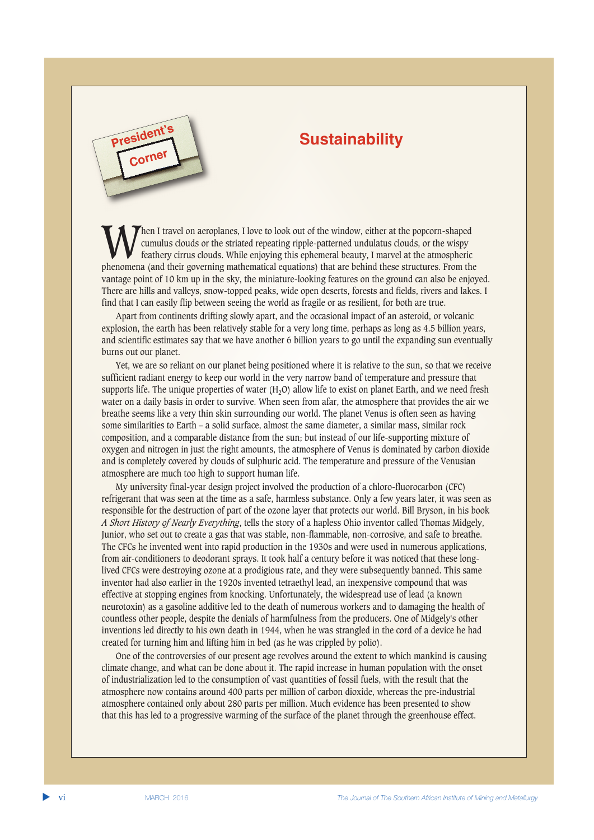# **Sustainability**

When I travel on aeroplanes, I love to look out of the window, either at the popcorn-shaped<br>cumulus clouds or the striated repeating ripple-patterned undulatus clouds, or the wispy<br>feathery cirrus clouds. While enjoying th cumulus clouds or the striated repeating ripple-patterned undulatus clouds, or the wispy phenomena (and their governing mathematical equations) that are behind these structures. From the vantage point of 10 km up in the sky, the miniature-looking features on the ground can also be enjoyed. There are hills and valleys, snow-topped peaks, wide open deserts, forests and fields, rivers and lakes. I find that I can easily flip between seeing the world as fragile or as resilient, for both are true.

Apart from continents drifting slowly apart, and the occasional impact of an asteroid, or volcanic explosion, the earth has been relatively stable for a very long time, perhaps as long as 4.5 billion years, and scientific estimates say that we have another 6 billion years to go until the expanding sun eventually burns out our planet.

Yet, we are so reliant on our planet being positioned where it is relative to the sun, so that we receive sufficient radiant energy to keep our world in the very narrow band of temperature and pressure that supports life. The unique properties of water  $(H<sub>2</sub>O)$  allow life to exist on planet Earth, and we need fresh water on a daily basis in order to survive. When seen from afar, the atmosphere that provides the air we breathe seems like a very thin skin surrounding our world. The planet Venus is often seen as having some similarities to Earth – a solid surface, almost the same diameter, a similar mass, similar rock composition, and a comparable distance from the sun; but instead of our life-supporting mixture of oxygen and nitrogen in just the right amounts, the atmosphere of Venus is dominated by carbon dioxide and is completely covered by clouds of sulphuric acid. The temperature and pressure of the Venusian atmosphere are much too high to support human life.

My university final-year design project involved the production of a chloro-fluorocarbon (CFC) refrigerant that was seen at the time as a safe, harmless substance. Only a few years later, it was seen as responsible for the destruction of part of the ozone layer that protects our world. Bill Bryson, in his book *A Short History of Nearly Everything*, tells the story of a hapless Ohio inventor called Thomas Midgely, Junior, who set out to create a gas that was stable, non-flammable, non-corrosive, and safe to breathe. The CFCs he invented went into rapid production in the 1930s and were used in numerous applications, from air-conditioners to deodorant sprays. It took half a century before it was noticed that these longlived CFCs were destroying ozone at a prodigious rate, and they were subsequently banned. This same inventor had also earlier in the 1920s invented tetraethyl lead, an inexpensive compound that was effective at stopping engines from knocking. Unfortunately, the widespread use of lead (a known neurotoxin) as a gasoline additive led to the death of numerous workers and to damaging the health of countless other people, despite the denials of harmfulness from the producers. One of Midgely's other inventions led directly to his own death in 1944, when he was strangled in the cord of a device he had created for turning him and lifting him in bed (as he was crippled by polio).

One of the controversies of our present age revolves around the extent to which mankind is causing climate change, and what can be done about it. The rapid increase in human population with the onset of industrialization led to the consumption of vast quantities of fossil fuels, with the result that the atmosphere now contains around 400 parts per million of carbon dioxide, whereas the pre-industrial atmosphere contained only about 280 parts per million. Much evidence has been presented to show that this has led to a progressive warming of the surface of the planet through the greenhouse effect.

**President** 

**Corner**

▲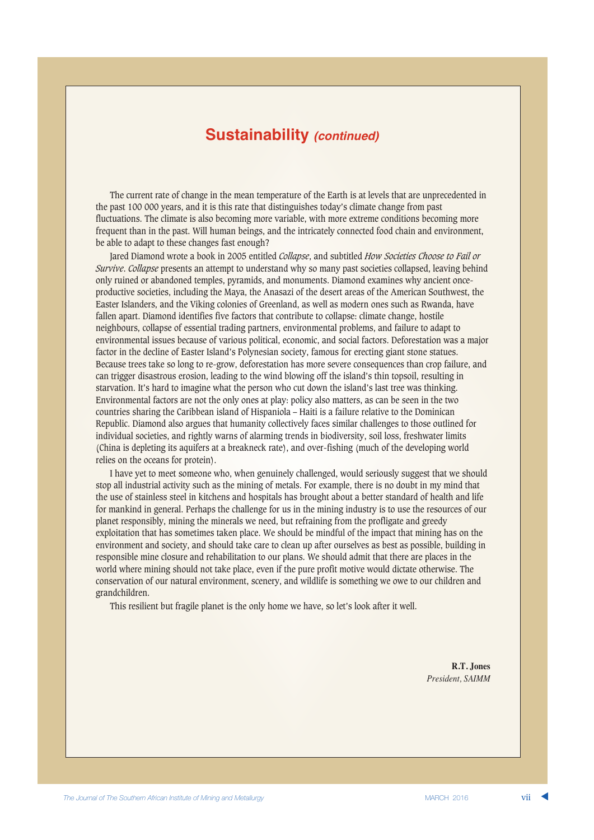### **Sustainability** *(continued)*

The current rate of change in the mean temperature of the Earth is at levels that are unprecedented in the past 100 000 years, and it is this rate that distinguishes today's climate change from past fluctuations. The climate is also becoming more variable, with more extreme conditions becoming more frequent than in the past. Will human beings, and the intricately connected food chain and environment, be able to adapt to these changes fast enough?

Jared Diamond wrote a book in 2005 entitled *Collapse*, and subtitled *How Societies Choose to Fail or Survive*. *Collapse* presents an attempt to understand why so many past societies collapsed, leaving behind only ruined or abandoned temples, pyramids, and monuments. Diamond examines why ancient onceproductive societies, including the Maya, the Anasazi of the desert areas of the American Southwest, the Easter Islanders, and the Viking colonies of Greenland, as well as modern ones such as Rwanda, have fallen apart. Diamond identifies five factors that contribute to collapse: climate change, hostile neighbours, collapse of essential trading partners, environmental problems, and failure to adapt to environmental issues because of various political, economic, and social factors. Deforestation was a major factor in the decline of Easter Island's Polynesian society, famous for erecting giant stone statues. Because trees take so long to re-grow, deforestation has more severe consequences than crop failure, and can trigger disastrous erosion, leading to the wind blowing off the island's thin topsoil, resulting in starvation. It's hard to imagine what the person who cut down the island's last tree was thinking. Environmental factors are not the only ones at play: policy also matters, as can be seen in the two countries sharing the Caribbean island of Hispaniola – Haiti is a failure relative to the Dominican Republic. Diamond also argues that humanity collectively faces similar challenges to those outlined for individual societies, and rightly warns of alarming trends in biodiversity, soil loss, freshwater limits (China is depleting its aquifers at a breakneck rate), and over-fishing (much of the developing world relies on the oceans for protein).

I have yet to meet someone who, when genuinely challenged, would seriously suggest that we should stop all industrial activity such as the mining of metals. For example, there is no doubt in my mind that the use of stainless steel in kitchens and hospitals has brought about a better standard of health and life for mankind in general. Perhaps the challenge for us in the mining industry is to use the resources of our planet responsibly, mining the minerals we need, but refraining from the profligate and greedy exploitation that has sometimes taken place. We should be mindful of the impact that mining has on the environment and society, and should take care to clean up after ourselves as best as possible, building in responsible mine closure and rehabilitation to our plans. We should admit that there are places in the world where mining should not take place, even if the pure profit motive would dictate otherwise. The conservation of our natural environment, scenery, and wildlife is something we owe to our children and grandchildren.

This resilient but fragile planet is the only home we have, so let's look after it well.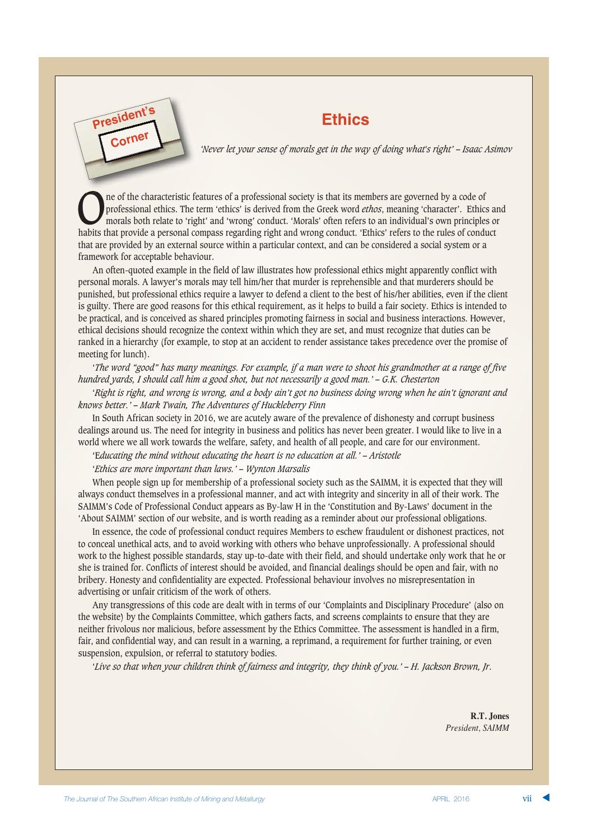# **Ethics President's**

*'Never let your sense of morals get in the way of doing what's right' – Isaac Asimov*

The of the characteristic features of a professional society is that its members are governed by a code of professional ethics. The term 'ethics' is derived from the Greek word *ethos*, meaning 'character'. Ethic morals bo professional ethics. The term 'ethics' is derived from the Greek word *ethos*, meaning 'character'. Ethics and morals both relate to 'right' and 'wrong' conduct. 'Morals' often refers to an individual's own principles or habits that provide a personal compass regarding right and wrong conduct. 'Ethics' refers to the rules of conduct that are provided by an external source within a particular context, and can be considered a social system or a framework for acceptable behaviour.

An often-quoted example in the field of law illustrates how professional ethics might apparently conflict with personal morals. A lawyer's morals may tell him/her that murder is reprehensible and that murderers should be punished, but professional ethics require a lawyer to defend a client to the best of his/her abilities, even if the client is guilty. There are good reasons for this ethical requirement, as it helps to build a fair society. Ethics is intended to be practical, and is conceived as shared principles promoting fairness in social and business interactions. However, ethical decisions should recognize the context within which they are set, and must recognize that duties can be ranked in a hierarchy (for example, to stop at an accident to render assistance takes precedence over the promise of meeting for lunch).

'*The word "good" has many meanings. For example, if a man were to shoot his grandmother at a range of five hundred yards, I should call him a good shot, but not necessarily a good man.' – G.K. Chesterton*

'*Right is right, and wrong is wrong, and a body ain't got no business doing wrong when he ain't ignorant and knows better.' – Mark Twain, The Adventures of Huckleberry Finn*

In South African society in 2016, we are acutely aware of the prevalence of dishonesty and corrupt business dealings around us. The need for integrity in business and politics has never been greater. I would like to live in a world where we all work towards the welfare, safety, and health of all people, and care for our environment.

'E*ducating the mind without educating the heart is no education at all.' – Aristotle*

#### '*Ethics are more important than laws.' – Wynton Marsalis*

**Corner**

When people sign up for membership of a professional society such as the SAIMM, it is expected that they will always conduct themselves in a professional manner, and act with integrity and sincerity in all of their work. The SAIMM's Code of Professional Conduct appears as By-law H in the 'Constitution and By-Laws' document in the 'About SAIMM' section of our website, and is worth reading as a reminder about our professional obligations.

In essence, the code of professional conduct requires Members to eschew fraudulent or dishonest practices, not to conceal unethical acts, and to avoid working with others who behave unprofessionally. A professional should work to the highest possible standards, stay up-to-date with their field, and should undertake only work that he or she is trained for. Conflicts of interest should be avoided, and financial dealings should be open and fair, with no bribery. Honesty and confidentiality are expected. Professional behaviour involves no misrepresentation in advertising or unfair criticism of the work of others.

Any transgressions of this code are dealt with in terms of our 'Complaints and Disciplinary Procedure' (also on the website) by the Complaints Committee, which gathers facts, and screens complaints to ensure that they are neither frivolous nor malicious, before assessment by the Ethics Committee. The assessment is handled in a firm, fair, and confidential way, and can result in a warning, a reprimand, a requirement for further training, or even suspension, expulsion, or referral to statutory bodies.

'*Live so that when your children think of fairness and integrity, they think of you.' – H. Jackson Brown, Jr*.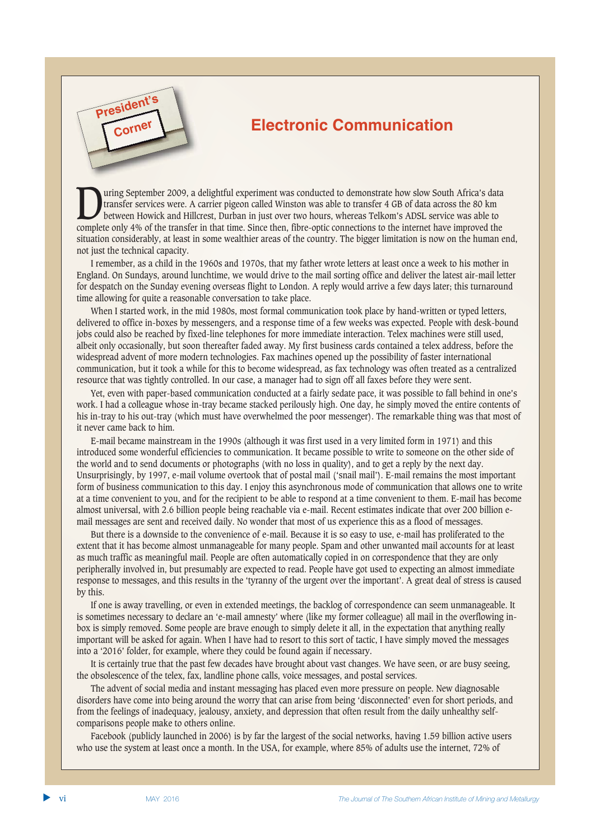# **Electronic Communication**

Using September 2009, a delightful experiment was conducted to demonstrate how slow South Africa's data<br>between Howick and Hillcrest, Durban in just over two hours, whereas Telkom's ADSL service was able to<br>complete only 4 transfer services were. A carrier pigeon called Winston was able to transfer 4 GB of data across the 80 km complete only 4% of the transfer in that time. Since then, fibre-optic connections to the internet have improved the situation considerably, at least in some wealthier areas of the country. The bigger limitation is now on the human end, not just the technical capacity.

I remember, as a child in the 1960s and 1970s, that my father wrote letters at least once a week to his mother in England. On Sundays, around lunchtime, we would drive to the mail sorting office and deliver the latest air-mail letter for despatch on the Sunday evening overseas flight to London. A reply would arrive a few days later; this turnaround time allowing for quite a reasonable conversation to take place.

When I started work, in the mid 1980s, most formal communication took place by hand-written or typed letters, delivered to office in-boxes by messengers, and a response time of a few weeks was expected. People with desk-bound jobs could also be reached by fixed-line telephones for more immediate interaction. Telex machines were still used, albeit only occasionally, but soon thereafter faded away. My first business cards contained a telex address, before the widespread advent of more modern technologies. Fax machines opened up the possibility of faster international communication, but it took a while for this to become widespread, as fax technology was often treated as a centralized resource that was tightly controlled. In our case, a manager had to sign off all faxes before they were sent.

Yet, even with paper-based communication conducted at a fairly sedate pace, it was possible to fall behind in one's work. I had a colleague whose in-tray became stacked perilously high. One day, he simply moved the entire contents of his in-tray to his out-tray (which must have overwhelmed the poor messenger). The remarkable thing was that most of it never came back to him.

E-mail became mainstream in the 1990s (although it was first used in a very limited form in 1971) and this introduced some wonderful efficiencies to communication. It became possible to write to someone on the other side of the world and to send documents or photographs (with no loss in quality), and to get a reply by the next day. Unsurprisingly, by 1997, e-mail volume overtook that of postal mail ('snail mail'). E-mail remains the most important form of business communication to this day. I enjoy this asynchronous mode of communication that allows one to write at a time convenient to you, and for the recipient to be able to respond at a time convenient to them. E-mail has become almost universal, with 2.6 billion people being reachable via e-mail. Recent estimates indicate that over 200 billion email messages are sent and received daily. No wonder that most of us experience this as a flood of messages.

But there is a downside to the convenience of e-mail. Because it is so easy to use, e-mail has proliferated to the extent that it has become almost unmanageable for many people. Spam and other unwanted mail accounts for at least as much traffic as meaningful mail. People are often automatically copied in on correspondence that they are only peripherally involved in, but presumably are expected to read. People have got used to expecting an almost immediate response to messages, and this results in the 'tyranny of the urgent over the important'. A great deal of stress is caused by this.

If one is away travelling, or even in extended meetings, the backlog of correspondence can seem unmanageable. It is sometimes necessary to declare an 'e-mail amnesty' where (like my former colleague) all mail in the overflowing inbox is simply removed. Some people are brave enough to simply delete it all, in the expectation that anything really important will be asked for again. When I have had to resort to this sort of tactic, I have simply moved the messages into a '2016' folder, for example, where they could be found again if necessary.

It is certainly true that the past few decades have brought about vast changes. We have seen, or are busy seeing, the obsolescence of the telex, fax, landline phone calls, voice messages, and postal services.

The advent of social media and instant messaging has placed even more pressure on people. New diagnosable disorders have come into being around the worry that can arise from being 'disconnected' even for short periods, and from the feelings of inadequacy, jealousy, anxiety, and depression that often result from the daily unhealthy selfcomparisons people make to others online.

Facebook (publicly launched in 2006) is by far the largest of the social networks, having 1.59 billion active users who use the system at least once a month. In the USA, for example, where 85% of adults use the internet, 72% of

**President's**

**Corner**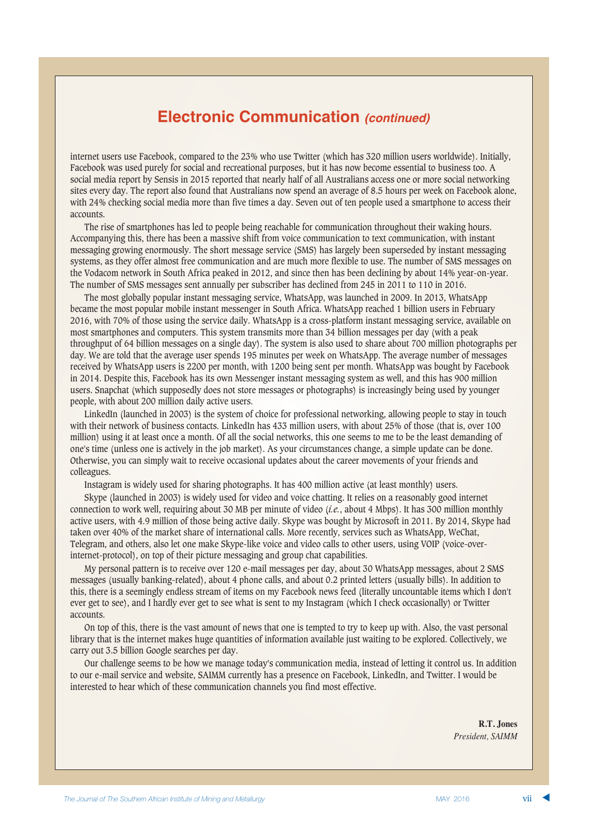## **Electronic Communication** *(continued)*

internet users use Facebook, compared to the 23% who use Twitter (which has 320 million users worldwide). Initially, Facebook was used purely for social and recreational purposes, but it has now become essential to business too. A social media report by Sensis in 2015 reported that nearly half of all Australians access one or more social networking sites every day. The report also found that Australians now spend an average of 8.5 hours per week on Facebook alone, with 24% checking social media more than five times a day. Seven out of ten people used a smartphone to access their accounts.

The rise of smartphones has led to people being reachable for communication throughout their waking hours. Accompanying this, there has been a massive shift from voice communication to text communication, with instant messaging growing enormously. The short message service (SMS) has largely been superseded by instant messaging systems, as they offer almost free communication and are much more flexible to use. The number of SMS messages on the Vodacom network in South Africa peaked in 2012, and since then has been declining by about 14% year-on-year. The number of SMS messages sent annually per subscriber has declined from 245 in 2011 to 110 in 2016.

The most globally popular instant messaging service, WhatsApp, was launched in 2009. In 2013, WhatsApp became the most popular mobile instant messenger in South Africa. WhatsApp reached 1 billion users in February 2016, with 70% of those using the service daily. WhatsApp is a cross-platform instant messaging service, available on most smartphones and computers. This system transmits more than 34 billion messages per day (with a peak throughput of 64 billion messages on a single day). The system is also used to share about 700 million photographs per day. We are told that the average user spends 195 minutes per week on WhatsApp. The average number of messages received by WhatsApp users is 2200 per month, with 1200 being sent per month. WhatsApp was bought by Facebook in 2014. Despite this, Facebook has its own Messenger instant messaging system as well, and this has 900 million users. Snapchat (which supposedly does not store messages or photographs) is increasingly being used by younger people, with about 200 million daily active users.

LinkedIn (launched in 2003) is the system of choice for professional networking, allowing people to stay in touch with their network of business contacts. LinkedIn has 433 million users, with about 25% of those (that is, over 100 million) using it at least once a month. Of all the social networks, this one seems to me to be the least demanding of one's time (unless one is actively in the job market). As your circumstances change, a simple update can be done. Otherwise, you can simply wait to receive occasional updates about the career movements of your friends and colleagues.

Instagram is widely used for sharing photographs. It has 400 million active (at least monthly) users.

Skype (launched in 2003) is widely used for video and voice chatting. It relies on a reasonably good internet connection to work well, requiring about 30 MB per minute of video (*i.e.*, about 4 Mbps). It has 300 million monthly active users, with 4.9 million of those being active daily. Skype was bought by Microsoft in 2011. By 2014, Skype had taken over 40% of the market share of international calls. More recently, services such as WhatsApp, WeChat, Telegram, and others, also let one make Skype-like voice and video calls to other users, using VOIP (voice-overinternet-protocol), on top of their picture messaging and group chat capabilities.

My personal pattern is to receive over 120 e-mail messages per day, about 30 WhatsApp messages, about 2 SMS messages (usually banking-related), about 4 phone calls, and about 0.2 printed letters (usually bills). In addition to this, there is a seemingly endless stream of items on my Facebook news feed (literally uncountable items which I don't ever get to see), and I hardly ever get to see what is sent to my Instagram (which I check occasionally) or Twitter accounts.

On top of this, there is the vast amount of news that one is tempted to try to keep up with. Also, the vast personal library that is the internet makes huge quantities of information available just waiting to be explored. Collectively, we carry out 3.5 billion Google searches per day.

Our challenge seems to be how we manage today's communication media, instead of letting it control us. In addition to our e-mail service and website, SAIMM currently has a presence on Facebook, LinkedIn, and Twitter. I would be interested to hear which of these communication channels you find most effective.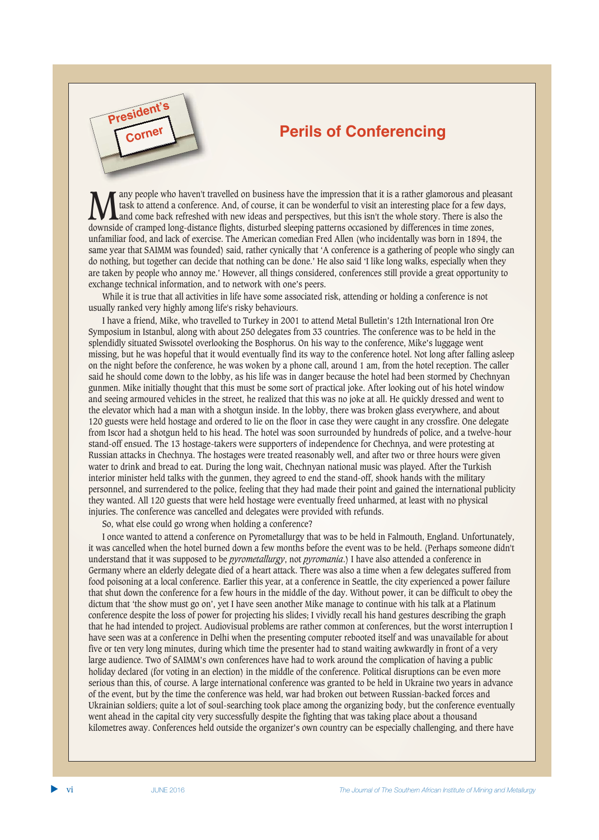# **Perils of Conferencing**

Many people who haven't travelled on business have the impression that it is a rather glamorous and pleasant task to attend a conference. And, of course, it can be wonderful to visit an interesting place for a few days, an task to attend a conference. And, of course, it can be wonderful to visit an interesting place for a few days, downside of cramped long-distance flights, disturbed sleeping patterns occasioned by differences in time zones, unfamiliar food, and lack of exercise. The American comedian Fred Allen (who incidentally was born in 1894, the same year that SAIMM was founded) said, rather cynically that 'A conference is a gathering of people who singly can do nothing, but together can decide that nothing can be done.' He also said 'I like long walks, especially when they are taken by people who annoy me.' However, all things considered, conferences still provide a great opportunity to exchange technical information, and to network with one's peers.

While it is true that all activities in life have some associated risk, attending or holding a conference is not usually ranked very highly among life's risky behaviours.

I have a friend, Mike, who travelled to Turkey in 2001 to attend Metal Bulletin's 12th International Iron Ore Symposium in Istanbul, along with about 250 delegates from 33 countries. The conference was to be held in the splendidly situated Swissotel overlooking the Bosphorus. On his way to the conference, Mike's luggage went missing, but he was hopeful that it would eventually find its way to the conference hotel. Not long after falling asleep on the night before the conference, he was woken by a phone call, around 1 am, from the hotel reception. The caller said he should come down to the lobby, as his life was in danger because the hotel had been stormed by Chechnyan gunmen. Mike initially thought that this must be some sort of practical joke. After looking out of his hotel window and seeing armoured vehicles in the street, he realized that this was no joke at all. He quickly dressed and went to the elevator which had a man with a shotgun inside. In the lobby, there was broken glass everywhere, and about 120 guests were held hostage and ordered to lie on the floor in case they were caught in any crossfire. One delegate from Iscor had a shotgun held to his head. The hotel was soon surrounded by hundreds of police, and a twelve-hour stand-off ensued. The 13 hostage-takers were supporters of independence for Chechnya, and were protesting at Russian attacks in Chechnya. The hostages were treated reasonably well, and after two or three hours were given water to drink and bread to eat. During the long wait, Chechnyan national music was played. After the Turkish interior minister held talks with the gunmen, they agreed to end the stand-off, shook hands with the military personnel, and surrendered to the police, feeling that they had made their point and gained the international publicity they wanted. All 120 guests that were held hostage were eventually freed unharmed, at least with no physical injuries. The conference was cancelled and delegates were provided with refunds.

So, what else could go wrong when holding a conference?

**President's**

**Corner**

I once wanted to attend a conference on Pyrometallurgy that was to be held in Falmouth, England. Unfortunately, it was cancelled when the hotel burned down a few months before the event was to be held. (Perhaps someone didn't understand that it was supposed to be *pyrometallurgy*, not *pyromania*.) I have also attended a conference in Germany where an elderly delegate died of a heart attack. There was also a time when a few delegates suffered from food poisoning at a local conference. Earlier this year, at a conference in Seattle, the city experienced a power failure that shut down the conference for a few hours in the middle of the day. Without power, it can be difficult to obey the dictum that 'the show must go on', yet I have seen another Mike manage to continue with his talk at a Platinum conference despite the loss of power for projecting his slides; I vividly recall his hand gestures describing the graph that he had intended to project. Audiovisual problems are rather common at conferences, but the worst interruption I have seen was at a conference in Delhi when the presenting computer rebooted itself and was unavailable for about five or ten very long minutes, during which time the presenter had to stand waiting awkwardly in front of a very large audience. Two of SAIMM's own conferences have had to work around the complication of having a public holiday declared (for voting in an election) in the middle of the conference. Political disruptions can be even more serious than this, of course. A large international conference was granted to be held in Ukraine two years in advance of the event, but by the time the conference was held, war had broken out between Russian-backed forces and Ukrainian soldiers; quite a lot of soul-searching took place among the organizing body, but the conference eventually went ahead in the capital city very successfully despite the fighting that was taking place about a thousand kilometres away. Conferences held outside the organizer's own country can be especially challenging, and there have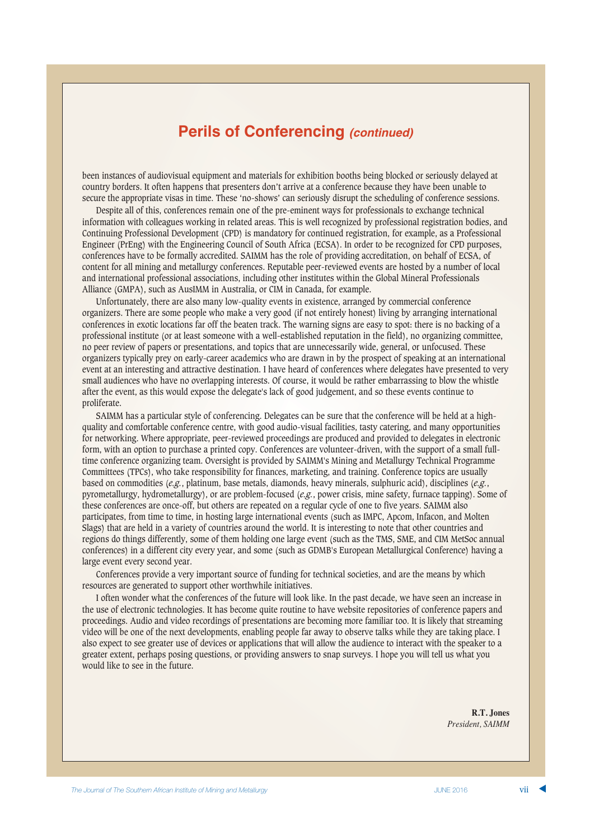## **Perils of Conferencing** *(continued)*

been instances of audiovisual equipment and materials for exhibition booths being blocked or seriously delayed at country borders. It often happens that presenters don't arrive at a conference because they have been unable to secure the appropriate visas in time. These 'no-shows' can seriously disrupt the scheduling of conference sessions.

Despite all of this, conferences remain one of the pre-eminent ways for professionals to exchange technical information with colleagues working in related areas. This is well recognized by professional registration bodies, and Continuing Professional Development (CPD) is mandatory for continued registration, for example, as a Professional Engineer (PrEng) with the Engineering Council of South Africa (ECSA). In order to be recognized for CPD purposes, conferences have to be formally accredited. SAIMM has the role of providing accreditation, on behalf of ECSA, of content for all mining and metallurgy conferences. Reputable peer-reviewed events are hosted by a number of local and international professional associations, including other institutes within the Global Mineral Professionals Alliance (GMPA), such as AusIMM in Australia, or CIM in Canada, for example.

Unfortunately, there are also many low-quality events in existence, arranged by commercial conference organizers. There are some people who make a very good (if not entirely honest) living by arranging international conferences in exotic locations far off the beaten track. The warning signs are easy to spot: there is no backing of a professional institute (or at least someone with a well-established reputation in the field), no organizing committee, no peer review of papers or presentations, and topics that are unnecessarily wide, general, or unfocused. These organizers typically prey on early-career academics who are drawn in by the prospect of speaking at an international event at an interesting and attractive destination. I have heard of conferences where delegates have presented to very small audiences who have no overlapping interests. Of course, it would be rather embarrassing to blow the whistle after the event, as this would expose the delegate's lack of good judgement, and so these events continue to proliferate.

SAIMM has a particular style of conferencing. Delegates can be sure that the conference will be held at a highquality and comfortable conference centre, with good audio-visual facilities, tasty catering, and many opportunities for networking. Where appropriate, peer-reviewed proceedings are produced and provided to delegates in electronic form, with an option to purchase a printed copy. Conferences are volunteer-driven, with the support of a small fulltime conference organizing team. Oversight is provided by SAIMM's Mining and Metallurgy Technical Programme Committees (TPCs), who take responsibility for finances, marketing, and training. Conference topics are usually based on commodities (*e.g.*, platinum, base metals, diamonds, heavy minerals, sulphuric acid), disciplines (*e.g.*, pyrometallurgy, hydrometallurgy), or are problem-focused (*e.g.*, power crisis, mine safety, furnace tapping). Some of these conferences are once-off, but others are repeated on a regular cycle of one to five years. SAIMM also participates, from time to time, in hosting large international events (such as IMPC, Apcom, Infacon, and Molten Slags) that are held in a variety of countries around the world. It is interesting to note that other countries and regions do things differently, some of them holding one large event (such as the TMS, SME, and CIM MetSoc annual conferences) in a different city every year, and some (such as GDMB's European Metallurgical Conference) having a large event every second year.

Conferences provide a very important source of funding for technical societies, and are the means by which resources are generated to support other worthwhile initiatives.

I often wonder what the conferences of the future will look like. In the past decade, we have seen an increase in the use of electronic technologies. It has become quite routine to have website repositories of conference papers and proceedings. Audio and video recordings of presentations are becoming more familiar too. It is likely that streaming video will be one of the next developments, enabling people far away to observe talks while they are taking place. I also expect to see greater use of devices or applications that will allow the audience to interact with the speaker to a greater extent, perhaps posing questions, or providing answers to snap surveys. I hope you will tell us what you would like to see in the future.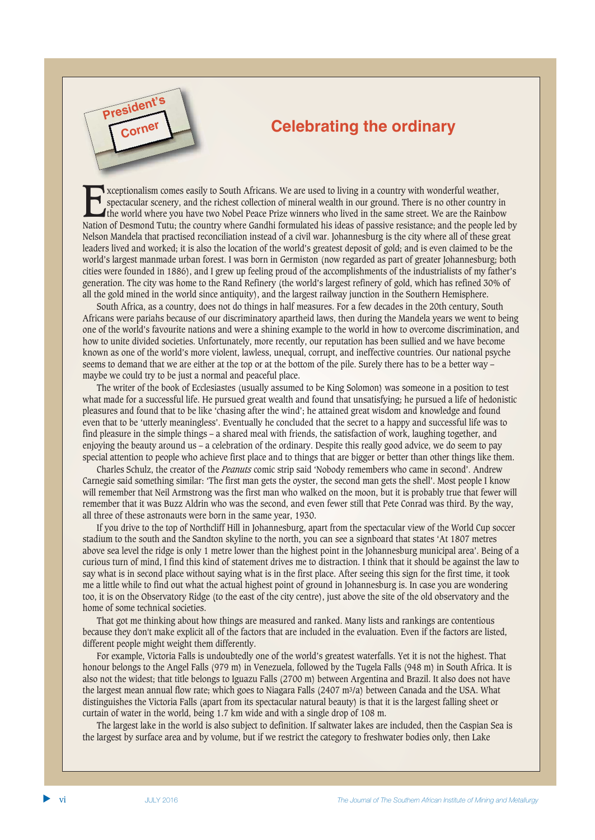# **Celebrating the ordinary**

Exceptionalism comes easily to South Africans. We are used to living in a country with wonderful weather,<br>spectacular scenery, and the richest collection of mineral wealth in our ground. There is no other country in<br>the wo spectacular scenery, and the richest collection of mineral wealth in our ground. There is no other country in Nation of Desmond Tutu; the country where Gandhi formulated his ideas of passive resistance; and the people led by Nelson Mandela that practised reconciliation instead of a civil war. Johannesburg is the city where all of these great leaders lived and worked; it is also the location of the world's greatest deposit of gold; and is even claimed to be the world's largest manmade urban forest. I was born in Germiston (now regarded as part of greater Johannesburg; both cities were founded in 1886), and I grew up feeling proud of the accomplishments of the industrialists of my father's generation. The city was home to the Rand Refinery (the world's largest refinery of gold, which has refined 30% of all the gold mined in the world since antiquity), and the largest railway junction in the Southern Hemisphere.

South Africa, as a country, does not do things in half measures. For a few decades in the 20th century, South Africans were pariahs because of our discriminatory apartheid laws, then during the Mandela years we went to being one of the world's favourite nations and were a shining example to the world in how to overcome discrimination, and how to unite divided societies. Unfortunately, more recently, our reputation has been sullied and we have become known as one of the world's more violent, lawless, unequal, corrupt, and ineffective countries. Our national psyche seems to demand that we are either at the top or at the bottom of the pile. Surely there has to be a better way – maybe we could try to be just a normal and peaceful place.

The writer of the book of Ecclesiastes (usually assumed to be King Solomon) was someone in a position to test what made for a successful life. He pursued great wealth and found that unsatisfying; he pursued a life of hedonistic pleasures and found that to be like 'chasing after the wind'; he attained great wisdom and knowledge and found even that to be 'utterly meaningless'. Eventually he concluded that the secret to a happy and successful life was to find pleasure in the simple things – a shared meal with friends, the satisfaction of work, laughing together, and enjoying the beauty around us – a celebration of the ordinary. Despite this really good advice, we do seem to pay special attention to people who achieve first place and to things that are bigger or better than other things like them.

Charles Schulz, the creator of the *Peanuts* comic strip said 'Nobody remembers who came in second'. Andrew Carnegie said something similar: 'The first man gets the oyster, the second man gets the shell'. Most people I know will remember that Neil Armstrong was the first man who walked on the moon, but it is probably true that fewer will remember that it was Buzz Aldrin who was the second, and even fewer still that Pete Conrad was third. By the way, all three of these astronauts were born in the same year, 1930.

If you drive to the top of Northcliff Hill in Johannesburg, apart from the spectacular view of the World Cup soccer stadium to the south and the Sandton skyline to the north, you can see a signboard that states 'At 1807 metres above sea level the ridge is only 1 metre lower than the highest point in the Johannesburg municipal area'. Being of a curious turn of mind, I find this kind of statement drives me to distraction. I think that it should be against the law to say what is in second place without saying what is in the first place. After seeing this sign for the first time, it took me a little while to find out what the actual highest point of ground in Johannesburg is. In case you are wondering too, it is on the Observatory Ridge (to the east of the city centre), just above the site of the old observatory and the home of some technical societies.

That got me thinking about how things are measured and ranked. Many lists and rankings are contentious because they don't make explicit all of the factors that are included in the evaluation. Even if the factors are listed, different people might weight them differently.

For example, Victoria Falls is undoubtedly one of the world's greatest waterfalls. Yet it is not the highest. That honour belongs to the Angel Falls (979 m) in Venezuela, followed by the Tugela Falls (948 m) in South Africa. It is also not the widest; that title belongs to Iguazu Falls (2700 m) between Argentina and Brazil. It also does not have the largest mean annual flow rate; which goes to Niagara Falls (2407 m3/a) between Canada and the USA. What distinguishes the Victoria Falls (apart from its spectacular natural beauty) is that it is the largest falling sheet or curtain of water in the world, being 1.7 km wide and with a single drop of 108 m.

The largest lake in the world is also subject to definition. If saltwater lakes are included, then the Caspian Sea is the largest by surface area and by volume, but if we restrict the category to freshwater bodies only, then Lake

**President** 

**Corner**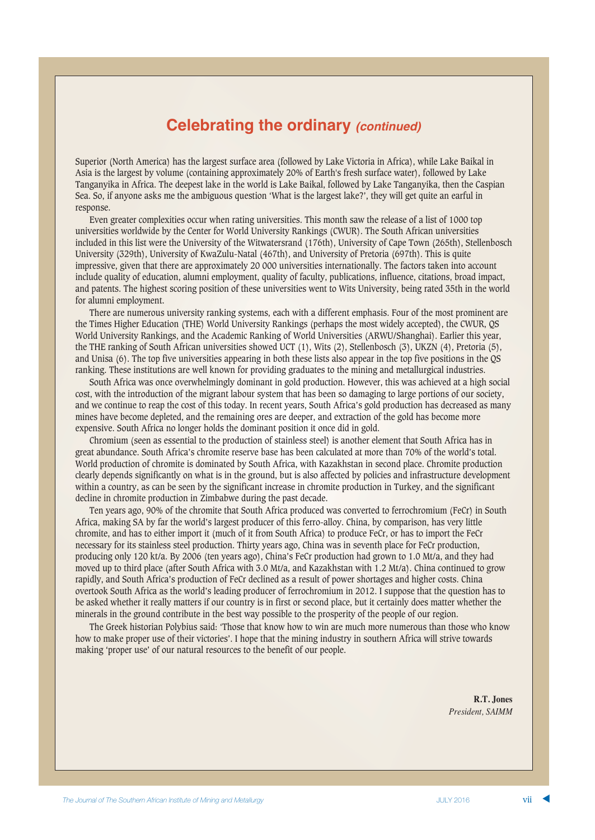# **Celebrating the ordinary** *(continued)*

Superior (North America) has the largest surface area (followed by Lake Victoria in Africa), while Lake Baikal in Asia is the largest by volume (containing approximately 20% of Earth's fresh surface water), followed by Lake Tanganyika in Africa. The deepest lake in the world is Lake Baikal, followed by Lake Tanganyika, then the Caspian Sea. So, if anyone asks me the ambiguous question 'What is the largest lake?', they will get quite an earful in response.

Even greater complexities occur when rating universities. This month saw the release of a list of 1000 top universities worldwide by the Center for World University Rankings (CWUR). The South African universities included in this list were the University of the Witwatersrand (176th), University of Cape Town (265th), Stellenbosch University (329th), University of KwaZulu-Natal (467th), and University of Pretoria (697th). This is quite impressive, given that there are approximately 20 000 universities internationally. The factors taken into account include quality of education, alumni employment, quality of faculty, publications, influence, citations, broad impact, and patents. The highest scoring position of these universities went to Wits University, being rated 35th in the world for alumni employment.

There are numerous university ranking systems, each with a different emphasis. Four of the most prominent are the Times Higher Education (THE) World University Rankings (perhaps the most widely accepted), the CWUR, QS World University Rankings, and the Academic Ranking of World Universities (ARWU/Shanghai). Earlier this year, the THE ranking of South African universities showed UCT (1), Wits (2), Stellenbosch (3), UKZN (4), Pretoria (5), and Unisa (6). The top five universities appearing in both these lists also appear in the top five positions in the QS ranking. These institutions are well known for providing graduates to the mining and metallurgical industries.

South Africa was once overwhelmingly dominant in gold production. However, this was achieved at a high social cost, with the introduction of the migrant labour system that has been so damaging to large portions of our society, and we continue to reap the cost of this today. In recent years, South Africa's gold production has decreased as many mines have become depleted, and the remaining ores are deeper, and extraction of the gold has become more expensive. South Africa no longer holds the dominant position it once did in gold.

Chromium (seen as essential to the production of stainless steel) is another element that South Africa has in great abundance. South Africa's chromite reserve base has been calculated at more than 70% of the world's total. World production of chromite is dominated by South Africa, with Kazakhstan in second place. Chromite production clearly depends significantly on what is in the ground, but is also affected by policies and infrastructure development within a country, as can be seen by the significant increase in chromite production in Turkey, and the significant decline in chromite production in Zimbabwe during the past decade.

Ten years ago, 90% of the chromite that South Africa produced was converted to ferrochromium (FeCr) in South Africa, making SA by far the world's largest producer of this ferro-alloy. China, by comparison, has very little chromite, and has to either import it (much of it from South Africa) to produce FeCr, or has to import the FeCr necessary for its stainless steel production. Thirty years ago, China was in seventh place for FeCr production, producing only 120 kt/a. By 2006 (ten years ago), China's FeCr production had grown to 1.0 Mt/a, and they had moved up to third place (after South Africa with 3.0 Mt/a, and Kazakhstan with 1.2 Mt/a). China continued to grow rapidly, and South Africa's production of FeCr declined as a result of power shortages and higher costs. China overtook South Africa as the world's leading producer of ferrochromium in 2012. I suppose that the question has to be asked whether it really matters if our country is in first or second place, but it certainly does matter whether the minerals in the ground contribute in the best way possible to the prosperity of the people of our region.

The Greek historian Polybius said: 'Those that know how to win are much more numerous than those who know how to make proper use of their victories'. I hope that the mining industry in southern Africa will strive towards making 'proper use' of our natural resources to the benefit of our people.